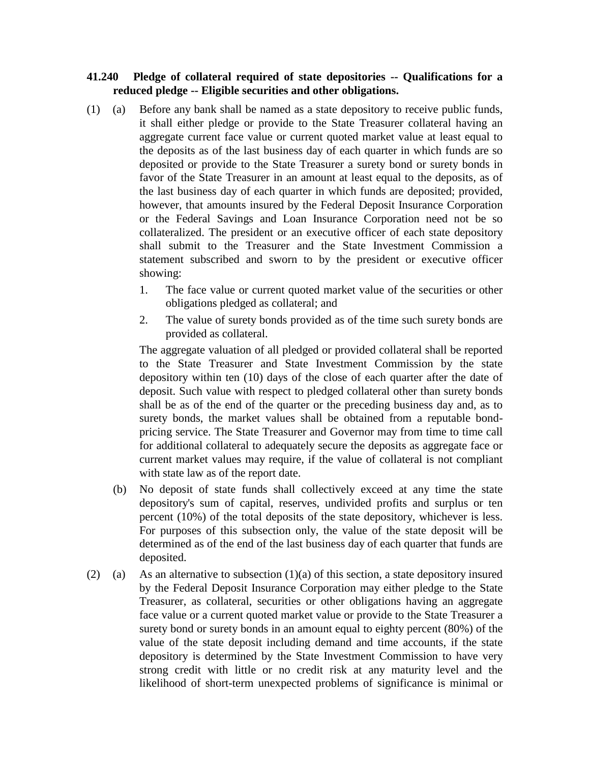## **41.240 Pledge of collateral required of state depositories -- Qualifications for a reduced pledge -- Eligible securities and other obligations.**

- (1) (a) Before any bank shall be named as a state depository to receive public funds, it shall either pledge or provide to the State Treasurer collateral having an aggregate current face value or current quoted market value at least equal to the deposits as of the last business day of each quarter in which funds are so deposited or provide to the State Treasurer a surety bond or surety bonds in favor of the State Treasurer in an amount at least equal to the deposits, as of the last business day of each quarter in which funds are deposited; provided, however, that amounts insured by the Federal Deposit Insurance Corporation or the Federal Savings and Loan Insurance Corporation need not be so collateralized. The president or an executive officer of each state depository shall submit to the Treasurer and the State Investment Commission a statement subscribed and sworn to by the president or executive officer showing:
	- 1. The face value or current quoted market value of the securities or other obligations pledged as collateral; and
	- 2. The value of surety bonds provided as of the time such surety bonds are provided as collateral.

The aggregate valuation of all pledged or provided collateral shall be reported to the State Treasurer and State Investment Commission by the state depository within ten (10) days of the close of each quarter after the date of deposit. Such value with respect to pledged collateral other than surety bonds shall be as of the end of the quarter or the preceding business day and, as to surety bonds, the market values shall be obtained from a reputable bondpricing service. The State Treasurer and Governor may from time to time call for additional collateral to adequately secure the deposits as aggregate face or current market values may require, if the value of collateral is not compliant with state law as of the report date.

- (b) No deposit of state funds shall collectively exceed at any time the state depository's sum of capital, reserves, undivided profits and surplus or ten percent (10%) of the total deposits of the state depository, whichever is less. For purposes of this subsection only, the value of the state deposit will be determined as of the end of the last business day of each quarter that funds are deposited.
- (2) (a) As an alternative to subsection  $(1)(a)$  of this section, a state depository insured by the Federal Deposit Insurance Corporation may either pledge to the State Treasurer, as collateral, securities or other obligations having an aggregate face value or a current quoted market value or provide to the State Treasurer a surety bond or surety bonds in an amount equal to eighty percent (80%) of the value of the state deposit including demand and time accounts, if the state depository is determined by the State Investment Commission to have very strong credit with little or no credit risk at any maturity level and the likelihood of short-term unexpected problems of significance is minimal or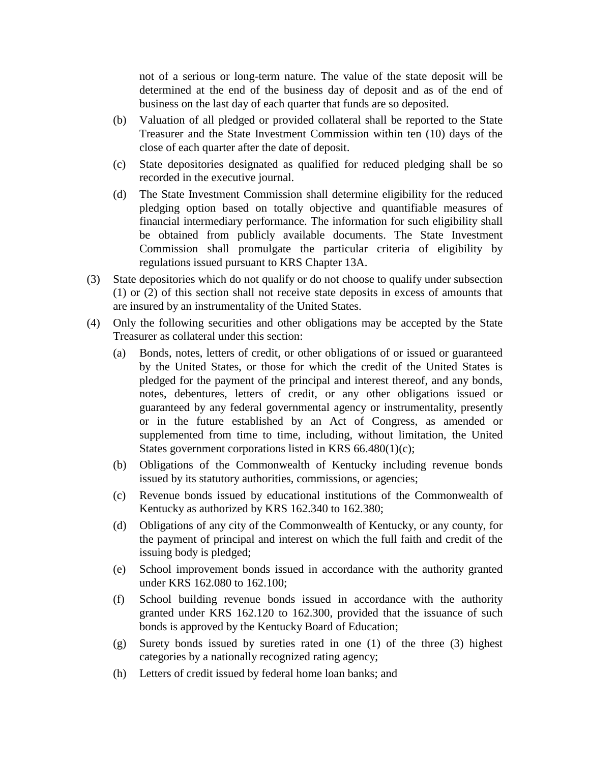not of a serious or long-term nature. The value of the state deposit will be determined at the end of the business day of deposit and as of the end of business on the last day of each quarter that funds are so deposited.

- (b) Valuation of all pledged or provided collateral shall be reported to the State Treasurer and the State Investment Commission within ten (10) days of the close of each quarter after the date of deposit.
- (c) State depositories designated as qualified for reduced pledging shall be so recorded in the executive journal.
- (d) The State Investment Commission shall determine eligibility for the reduced pledging option based on totally objective and quantifiable measures of financial intermediary performance. The information for such eligibility shall be obtained from publicly available documents. The State Investment Commission shall promulgate the particular criteria of eligibility by regulations issued pursuant to KRS Chapter 13A.
- (3) State depositories which do not qualify or do not choose to qualify under subsection (1) or (2) of this section shall not receive state deposits in excess of amounts that are insured by an instrumentality of the United States.
- (4) Only the following securities and other obligations may be accepted by the State Treasurer as collateral under this section:
	- (a) Bonds, notes, letters of credit, or other obligations of or issued or guaranteed by the United States, or those for which the credit of the United States is pledged for the payment of the principal and interest thereof, and any bonds, notes, debentures, letters of credit, or any other obligations issued or guaranteed by any federal governmental agency or instrumentality, presently or in the future established by an Act of Congress, as amended or supplemented from time to time, including, without limitation, the United States government corporations listed in KRS 66.480(1)(c);
	- (b) Obligations of the Commonwealth of Kentucky including revenue bonds issued by its statutory authorities, commissions, or agencies;
	- (c) Revenue bonds issued by educational institutions of the Commonwealth of Kentucky as authorized by KRS 162.340 to 162.380;
	- (d) Obligations of any city of the Commonwealth of Kentucky, or any county, for the payment of principal and interest on which the full faith and credit of the issuing body is pledged;
	- (e) School improvement bonds issued in accordance with the authority granted under KRS 162.080 to 162.100;
	- (f) School building revenue bonds issued in accordance with the authority granted under KRS 162.120 to 162.300, provided that the issuance of such bonds is approved by the Kentucky Board of Education;
	- (g) Surety bonds issued by sureties rated in one (1) of the three (3) highest categories by a nationally recognized rating agency;
	- (h) Letters of credit issued by federal home loan banks; and